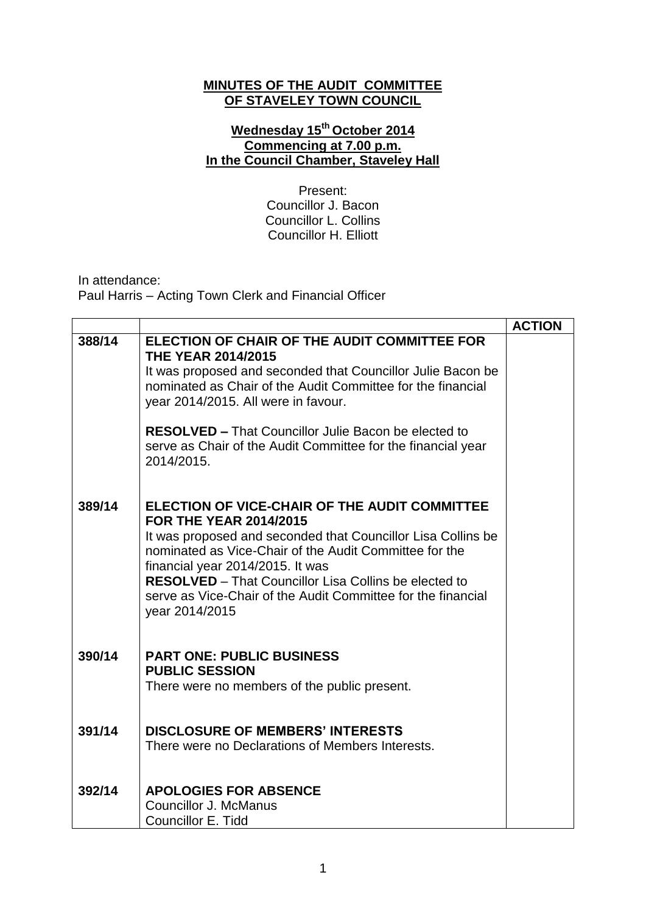## **MINUTES OF THE AUDIT COMMITTEE OF STAVELEY TOWN COUNCIL**

## **Wednesday 15th October 2014 Commencing at 7.00 p.m. In the Council Chamber, Staveley Hall**

Present: Councillor J. Bacon Councillor L. Collins Councillor H. Elliott

In attendance:

Paul Harris – Acting Town Clerk and Financial Officer

|        |                                                                                                                                                                                                                                                                                                                                                                                                | <b>ACTION</b> |
|--------|------------------------------------------------------------------------------------------------------------------------------------------------------------------------------------------------------------------------------------------------------------------------------------------------------------------------------------------------------------------------------------------------|---------------|
| 388/14 | ELECTION OF CHAIR OF THE AUDIT COMMITTEE FOR<br><b>THE YEAR 2014/2015</b>                                                                                                                                                                                                                                                                                                                      |               |
|        | It was proposed and seconded that Councillor Julie Bacon be<br>nominated as Chair of the Audit Committee for the financial<br>year 2014/2015. All were in favour.                                                                                                                                                                                                                              |               |
|        | <b>RESOLVED - That Councillor Julie Bacon be elected to</b><br>serve as Chair of the Audit Committee for the financial year<br>2014/2015.                                                                                                                                                                                                                                                      |               |
| 389/14 | ELECTION OF VICE-CHAIR OF THE AUDIT COMMITTEE<br><b>FOR THE YEAR 2014/2015</b><br>It was proposed and seconded that Councillor Lisa Collins be<br>nominated as Vice-Chair of the Audit Committee for the<br>financial year 2014/2015. It was<br><b>RESOLVED</b> – That Councillor Lisa Collins be elected to<br>serve as Vice-Chair of the Audit Committee for the financial<br>year 2014/2015 |               |
| 390/14 | <b>PART ONE: PUBLIC BUSINESS</b><br><b>PUBLIC SESSION</b><br>There were no members of the public present.                                                                                                                                                                                                                                                                                      |               |
| 391/14 | <b>DISCLOSURE OF MEMBERS' INTERESTS</b><br>There were no Declarations of Members Interests.                                                                                                                                                                                                                                                                                                    |               |
| 392/14 | <b>APOLOGIES FOR ABSENCE</b><br>Councillor J. McManus<br>Councillor E. Tidd                                                                                                                                                                                                                                                                                                                    |               |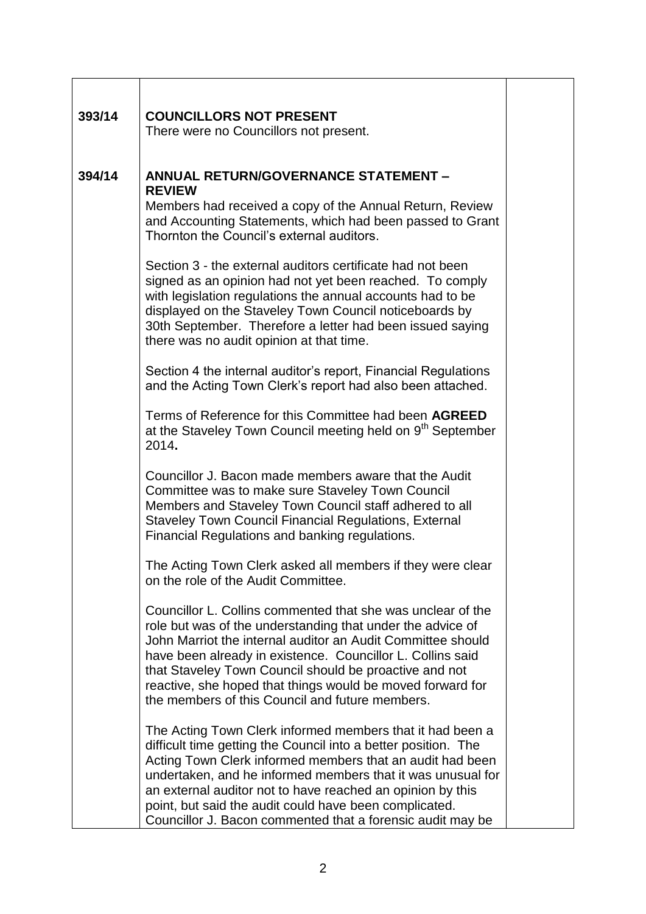| 393/14 | <b>COUNCILLORS NOT PRESENT</b><br>There were no Councillors not present.                                                                                                                                                                                                                                                                                                                                                                      |  |
|--------|-----------------------------------------------------------------------------------------------------------------------------------------------------------------------------------------------------------------------------------------------------------------------------------------------------------------------------------------------------------------------------------------------------------------------------------------------|--|
|        |                                                                                                                                                                                                                                                                                                                                                                                                                                               |  |
| 394/14 | <b>ANNUAL RETURN/GOVERNANCE STATEMENT -</b><br><b>REVIEW</b>                                                                                                                                                                                                                                                                                                                                                                                  |  |
|        | Members had received a copy of the Annual Return, Review<br>and Accounting Statements, which had been passed to Grant<br>Thornton the Council's external auditors.                                                                                                                                                                                                                                                                            |  |
|        | Section 3 - the external auditors certificate had not been<br>signed as an opinion had not yet been reached. To comply<br>with legislation regulations the annual accounts had to be<br>displayed on the Staveley Town Council noticeboards by<br>30th September. Therefore a letter had been issued saying<br>there was no audit opinion at that time.                                                                                       |  |
|        | Section 4 the internal auditor's report, Financial Regulations<br>and the Acting Town Clerk's report had also been attached.                                                                                                                                                                                                                                                                                                                  |  |
|        | Terms of Reference for this Committee had been AGREED<br>at the Staveley Town Council meeting held on 9 <sup>th</sup> September<br>2014.                                                                                                                                                                                                                                                                                                      |  |
|        | Councillor J. Bacon made members aware that the Audit<br>Committee was to make sure Staveley Town Council<br>Members and Staveley Town Council staff adhered to all<br><b>Staveley Town Council Financial Regulations, External</b><br>Financial Regulations and banking regulations.                                                                                                                                                         |  |
|        | The Acting Town Clerk asked all members if they were clear<br>on the role of the Audit Committee.                                                                                                                                                                                                                                                                                                                                             |  |
|        | Councillor L. Collins commented that she was unclear of the<br>role but was of the understanding that under the advice of<br>John Marriot the internal auditor an Audit Committee should<br>have been already in existence. Councillor L. Collins said<br>that Staveley Town Council should be proactive and not<br>reactive, she hoped that things would be moved forward for<br>the members of this Council and future members.             |  |
|        | The Acting Town Clerk informed members that it had been a<br>difficult time getting the Council into a better position. The<br>Acting Town Clerk informed members that an audit had been<br>undertaken, and he informed members that it was unusual for<br>an external auditor not to have reached an opinion by this<br>point, but said the audit could have been complicated.<br>Councillor J. Bacon commented that a forensic audit may be |  |

٦

T

 $\overline{1}$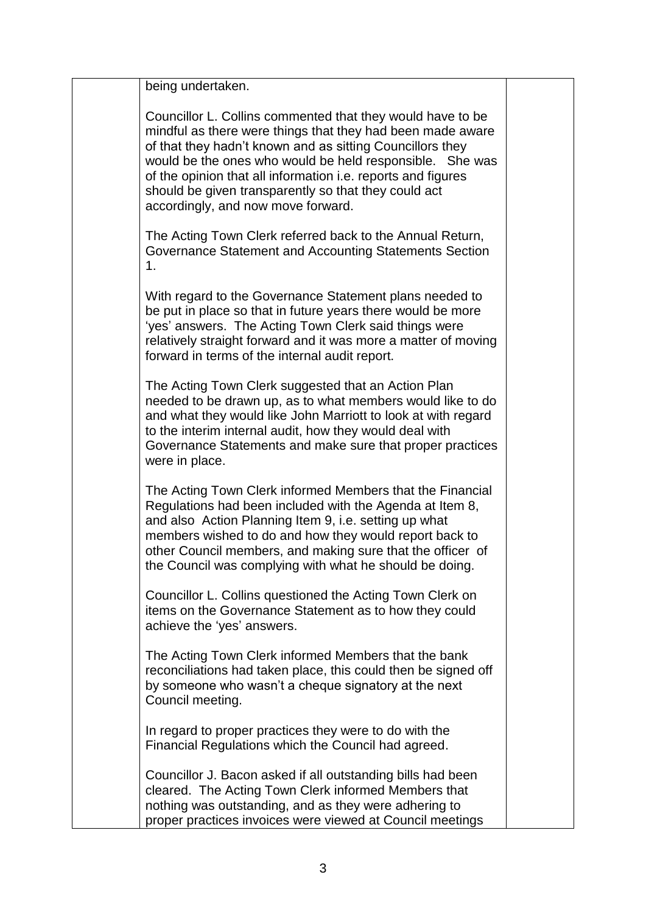| being undertaken.                                                                                                                                                                                                                                                                                                                                                                                               |  |
|-----------------------------------------------------------------------------------------------------------------------------------------------------------------------------------------------------------------------------------------------------------------------------------------------------------------------------------------------------------------------------------------------------------------|--|
| Councillor L. Collins commented that they would have to be<br>mindful as there were things that they had been made aware<br>of that they hadn't known and as sitting Councillors they<br>would be the ones who would be held responsible. She was<br>of the opinion that all information i.e. reports and figures<br>should be given transparently so that they could act<br>accordingly, and now move forward. |  |
| The Acting Town Clerk referred back to the Annual Return,<br>Governance Statement and Accounting Statements Section<br>1.                                                                                                                                                                                                                                                                                       |  |
| With regard to the Governance Statement plans needed to<br>be put in place so that in future years there would be more<br>'yes' answers. The Acting Town Clerk said things were<br>relatively straight forward and it was more a matter of moving<br>forward in terms of the internal audit report.                                                                                                             |  |
| The Acting Town Clerk suggested that an Action Plan<br>needed to be drawn up, as to what members would like to do<br>and what they would like John Marriott to look at with regard<br>to the interim internal audit, how they would deal with<br>Governance Statements and make sure that proper practices<br>were in place.                                                                                    |  |
| The Acting Town Clerk informed Members that the Financial<br>Regulations had been included with the Agenda at Item 8,<br>and also Action Planning Item 9, i.e. setting up what<br>members wished to do and how they would report back to<br>other Council members, and making sure that the officer of<br>the Council was complying with what he should be doing.                                               |  |
| Councillor L. Collins questioned the Acting Town Clerk on<br>items on the Governance Statement as to how they could<br>achieve the 'yes' answers.                                                                                                                                                                                                                                                               |  |
| The Acting Town Clerk informed Members that the bank<br>reconciliations had taken place, this could then be signed off<br>by someone who wasn't a cheque signatory at the next<br>Council meeting.                                                                                                                                                                                                              |  |
| In regard to proper practices they were to do with the<br>Financial Regulations which the Council had agreed.                                                                                                                                                                                                                                                                                                   |  |
| Councillor J. Bacon asked if all outstanding bills had been<br>cleared. The Acting Town Clerk informed Members that<br>nothing was outstanding, and as they were adhering to<br>proper practices invoices were viewed at Council meetings                                                                                                                                                                       |  |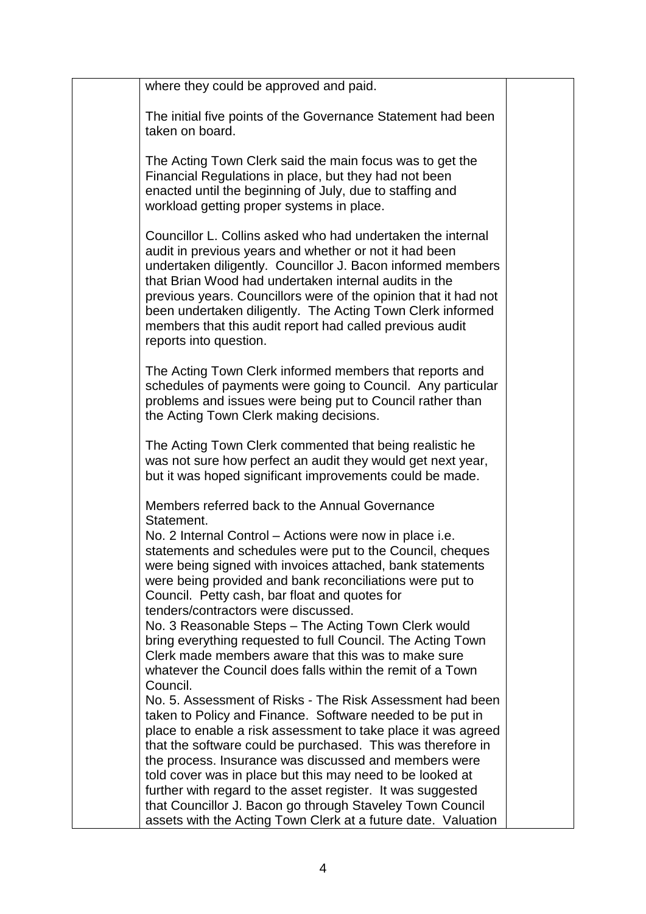| where they could be approved and paid.                                                                                                                                                                                                                                                                                                                                                                                                                               |  |
|----------------------------------------------------------------------------------------------------------------------------------------------------------------------------------------------------------------------------------------------------------------------------------------------------------------------------------------------------------------------------------------------------------------------------------------------------------------------|--|
| The initial five points of the Governance Statement had been<br>taken on board.                                                                                                                                                                                                                                                                                                                                                                                      |  |
| The Acting Town Clerk said the main focus was to get the<br>Financial Regulations in place, but they had not been<br>enacted until the beginning of July, due to staffing and<br>workload getting proper systems in place.                                                                                                                                                                                                                                           |  |
| Councillor L. Collins asked who had undertaken the internal<br>audit in previous years and whether or not it had been<br>undertaken diligently. Councillor J. Bacon informed members<br>that Brian Wood had undertaken internal audits in the<br>previous years. Councillors were of the opinion that it had not<br>been undertaken diligently. The Acting Town Clerk informed<br>members that this audit report had called previous audit<br>reports into question. |  |
| The Acting Town Clerk informed members that reports and<br>schedules of payments were going to Council. Any particular<br>problems and issues were being put to Council rather than<br>the Acting Town Clerk making decisions.                                                                                                                                                                                                                                       |  |
| The Acting Town Clerk commented that being realistic he<br>was not sure how perfect an audit they would get next year,<br>but it was hoped significant improvements could be made.                                                                                                                                                                                                                                                                                   |  |
| Members referred back to the Annual Governance                                                                                                                                                                                                                                                                                                                                                                                                                       |  |
| Statement.<br>No. 2 Internal Control – Actions were now in place i.e.<br>statements and schedules were put to the Council, cheques<br>were being signed with invoices attached, bank statements<br>were being provided and bank reconciliations were put to<br>Council. Petty cash, bar float and quotes for                                                                                                                                                         |  |
| tenders/contractors were discussed.<br>No. 3 Reasonable Steps - The Acting Town Clerk would<br>bring everything requested to full Council. The Acting Town<br>Clerk made members aware that this was to make sure<br>whatever the Council does falls within the remit of a Town                                                                                                                                                                                      |  |
| Council.<br>No. 5. Assessment of Risks - The Risk Assessment had been<br>taken to Policy and Finance. Software needed to be put in<br>place to enable a risk assessment to take place it was agreed                                                                                                                                                                                                                                                                  |  |
| that the software could be purchased. This was therefore in<br>the process. Insurance was discussed and members were<br>told cover was in place but this may need to be looked at<br>further with regard to the asset register. It was suggested<br>that Councillor J. Bacon go through Staveley Town Council<br>assets with the Acting Town Clerk at a future date. Valuation                                                                                       |  |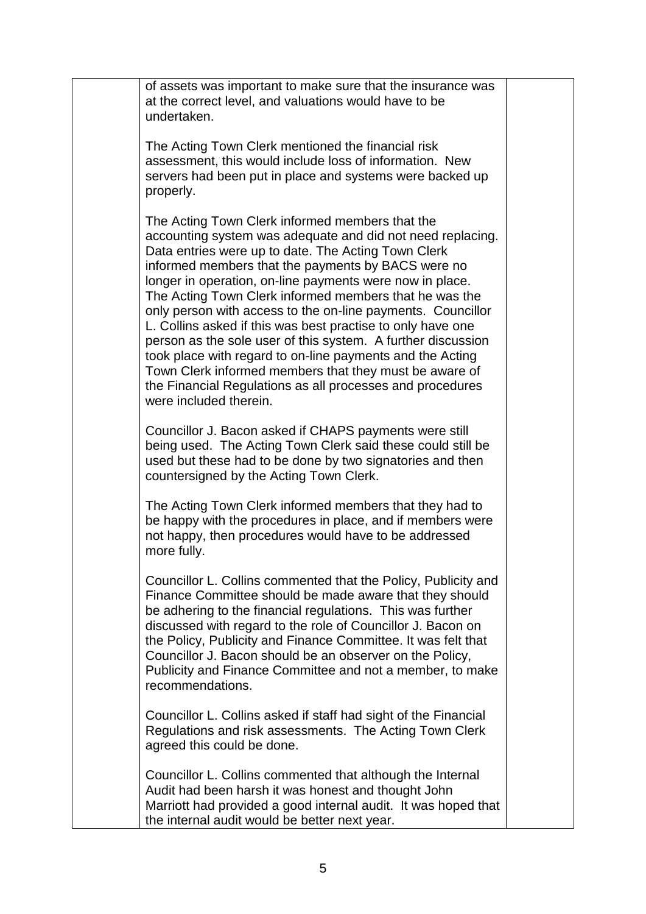| of assets was important to make sure that the insurance was<br>at the correct level, and valuations would have to be<br>undertaken.                                                                                                                                                                                                                                                                                                                                                                                                                                                                                                                                                                                                                          |  |
|--------------------------------------------------------------------------------------------------------------------------------------------------------------------------------------------------------------------------------------------------------------------------------------------------------------------------------------------------------------------------------------------------------------------------------------------------------------------------------------------------------------------------------------------------------------------------------------------------------------------------------------------------------------------------------------------------------------------------------------------------------------|--|
| The Acting Town Clerk mentioned the financial risk<br>assessment, this would include loss of information. New<br>servers had been put in place and systems were backed up<br>properly.                                                                                                                                                                                                                                                                                                                                                                                                                                                                                                                                                                       |  |
| The Acting Town Clerk informed members that the<br>accounting system was adequate and did not need replacing.<br>Data entries were up to date. The Acting Town Clerk<br>informed members that the payments by BACS were no<br>longer in operation, on-line payments were now in place.<br>The Acting Town Clerk informed members that he was the<br>only person with access to the on-line payments. Councillor<br>L. Collins asked if this was best practise to only have one<br>person as the sole user of this system. A further discussion<br>took place with regard to on-line payments and the Acting<br>Town Clerk informed members that they must be aware of<br>the Financial Regulations as all processes and procedures<br>were included therein. |  |
| Councillor J. Bacon asked if CHAPS payments were still<br>being used. The Acting Town Clerk said these could still be<br>used but these had to be done by two signatories and then<br>countersigned by the Acting Town Clerk.                                                                                                                                                                                                                                                                                                                                                                                                                                                                                                                                |  |
| The Acting Town Clerk informed members that they had to<br>be happy with the procedures in place, and if members were<br>not happy, then procedures would have to be addressed<br>more fully.                                                                                                                                                                                                                                                                                                                                                                                                                                                                                                                                                                |  |
| Councillor L. Collins commented that the Policy, Publicity and<br>Finance Committee should be made aware that they should<br>be adhering to the financial regulations. This was further<br>discussed with regard to the role of Councillor J. Bacon on<br>the Policy, Publicity and Finance Committee. It was felt that<br>Councillor J. Bacon should be an observer on the Policy,<br>Publicity and Finance Committee and not a member, to make<br>recommendations.                                                                                                                                                                                                                                                                                         |  |
| Councillor L. Collins asked if staff had sight of the Financial<br>Regulations and risk assessments. The Acting Town Clerk<br>agreed this could be done.                                                                                                                                                                                                                                                                                                                                                                                                                                                                                                                                                                                                     |  |
| Councillor L. Collins commented that although the Internal<br>Audit had been harsh it was honest and thought John<br>Marriott had provided a good internal audit. It was hoped that<br>the internal audit would be better next year.                                                                                                                                                                                                                                                                                                                                                                                                                                                                                                                         |  |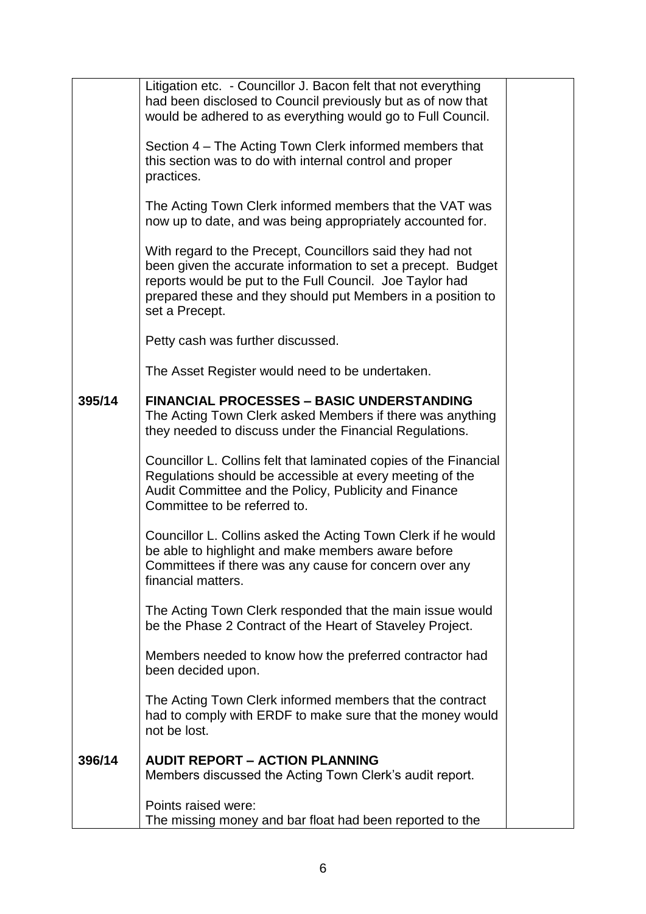|        | Litigation etc. - Councillor J. Bacon felt that not everything<br>had been disclosed to Council previously but as of now that<br>would be adhered to as everything would go to Full Council.                                                                           |  |
|--------|------------------------------------------------------------------------------------------------------------------------------------------------------------------------------------------------------------------------------------------------------------------------|--|
|        | Section 4 – The Acting Town Clerk informed members that<br>this section was to do with internal control and proper<br>practices.                                                                                                                                       |  |
|        | The Acting Town Clerk informed members that the VAT was<br>now up to date, and was being appropriately accounted for.                                                                                                                                                  |  |
|        | With regard to the Precept, Councillors said they had not<br>been given the accurate information to set a precept. Budget<br>reports would be put to the Full Council. Joe Taylor had<br>prepared these and they should put Members in a position to<br>set a Precept. |  |
|        | Petty cash was further discussed.                                                                                                                                                                                                                                      |  |
|        | The Asset Register would need to be undertaken.                                                                                                                                                                                                                        |  |
| 395/14 | <b>FINANCIAL PROCESSES - BASIC UNDERSTANDING</b><br>The Acting Town Clerk asked Members if there was anything<br>they needed to discuss under the Financial Regulations.                                                                                               |  |
|        | Councillor L. Collins felt that laminated copies of the Financial<br>Regulations should be accessible at every meeting of the<br>Audit Committee and the Policy, Publicity and Finance<br>Committee to be referred to.                                                 |  |
|        | Councillor L. Collins asked the Acting Town Clerk if he would<br>be able to highlight and make members aware before<br>Committees if there was any cause for concern over any<br>financial matters.                                                                    |  |
|        | The Acting Town Clerk responded that the main issue would<br>be the Phase 2 Contract of the Heart of Staveley Project.                                                                                                                                                 |  |
|        | Members needed to know how the preferred contractor had<br>been decided upon.                                                                                                                                                                                          |  |
|        | The Acting Town Clerk informed members that the contract<br>had to comply with ERDF to make sure that the money would<br>not be lost.                                                                                                                                  |  |
| 396/14 | <b>AUDIT REPORT - ACTION PLANNING</b>                                                                                                                                                                                                                                  |  |
|        | Members discussed the Acting Town Clerk's audit report.                                                                                                                                                                                                                |  |
|        | Points raised were:<br>The missing money and bar float had been reported to the                                                                                                                                                                                        |  |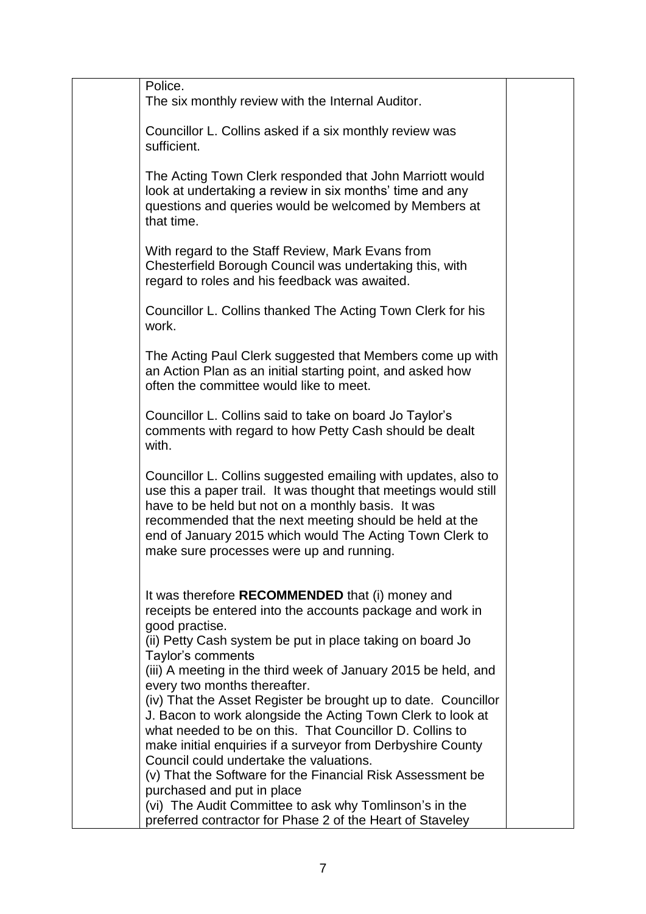| Police.<br>The six monthly review with the Internal Auditor.                                                                                                                                                                                                                                                                                                                                                                                               |  |
|------------------------------------------------------------------------------------------------------------------------------------------------------------------------------------------------------------------------------------------------------------------------------------------------------------------------------------------------------------------------------------------------------------------------------------------------------------|--|
| Councillor L. Collins asked if a six monthly review was<br>sufficient.                                                                                                                                                                                                                                                                                                                                                                                     |  |
| The Acting Town Clerk responded that John Marriott would<br>look at undertaking a review in six months' time and any<br>questions and queries would be welcomed by Members at<br>that time.                                                                                                                                                                                                                                                                |  |
| With regard to the Staff Review, Mark Evans from<br>Chesterfield Borough Council was undertaking this, with<br>regard to roles and his feedback was awaited.                                                                                                                                                                                                                                                                                               |  |
| Councillor L. Collins thanked The Acting Town Clerk for his<br>work.                                                                                                                                                                                                                                                                                                                                                                                       |  |
| The Acting Paul Clerk suggested that Members come up with<br>an Action Plan as an initial starting point, and asked how<br>often the committee would like to meet.                                                                                                                                                                                                                                                                                         |  |
| Councillor L. Collins said to take on board Jo Taylor's<br>comments with regard to how Petty Cash should be dealt<br>with.                                                                                                                                                                                                                                                                                                                                 |  |
| Councillor L. Collins suggested emailing with updates, also to<br>use this a paper trail. It was thought that meetings would still<br>have to be held but not on a monthly basis. It was<br>recommended that the next meeting should be held at the<br>end of January 2015 which would The Acting Town Clerk to<br>make sure processes were up and running.                                                                                                |  |
| It was therefore <b>RECOMMENDED</b> that (i) money and<br>receipts be entered into the accounts package and work in<br>good practise.<br>(ii) Petty Cash system be put in place taking on board Jo<br>Taylor's comments<br>(iii) A meeting in the third week of January 2015 be held, and<br>every two months thereafter.<br>(iv) That the Asset Register be brought up to date. Councillor<br>J. Bacon to work alongside the Acting Town Clerk to look at |  |
| what needed to be on this. That Councillor D. Collins to<br>make initial enquiries if a surveyor from Derbyshire County<br>Council could undertake the valuations.<br>(v) That the Software for the Financial Risk Assessment be<br>purchased and put in place<br>(vi) The Audit Committee to ask why Tomlinson's in the                                                                                                                                   |  |
| preferred contractor for Phase 2 of the Heart of Staveley                                                                                                                                                                                                                                                                                                                                                                                                  |  |